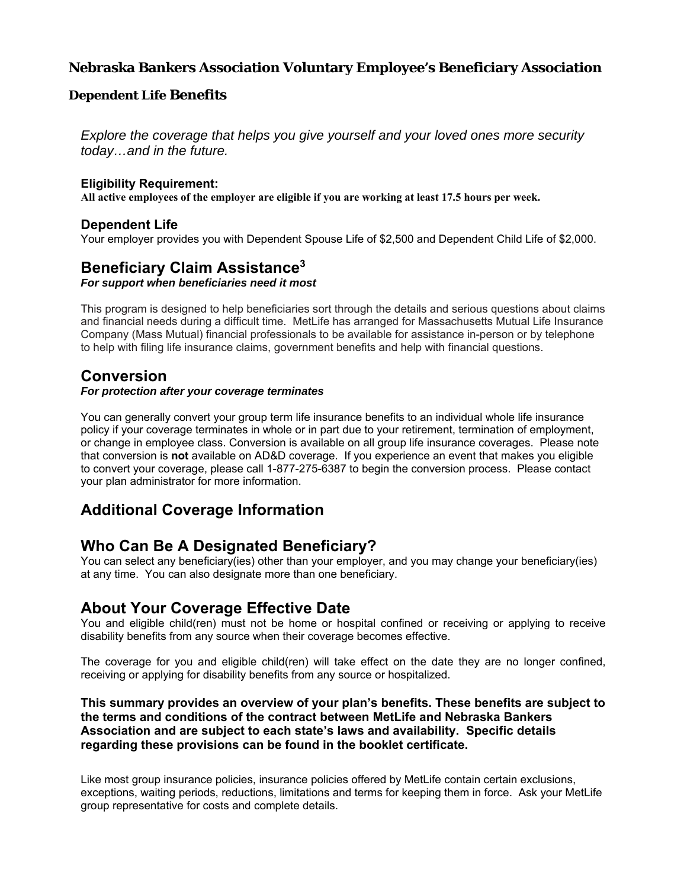# **Nebraska Bankers Association Voluntary Employee's Beneficiary Association**

#### **Dependent Life Benefits**

*Explore the coverage that helps you give yourself and your loved ones more security today…and in the future.* 

#### **Eligibility Requirement:**

**All active employees of the employer are eligible if you are working at least 17.5 hours per week.** 

#### **Dependent Life**

Your employer provides you with Dependent Spouse Life of \$2,500 and Dependent Child Life of \$2,000.

# **Beneficiary Claim Assistance3**

*For support when beneficiaries need it most* 

This program is designed to help beneficiaries sort through the details and serious questions about claims and financial needs during a difficult time. MetLife has arranged for Massachusetts Mutual Life Insurance Company (Mass Mutual) financial professionals to be available for assistance in-person or by telephone to help with filing life insurance claims, government benefits and help with financial questions.

## **Conversion**

#### *For protection after your coverage terminates*

You can generally convert your group term life insurance benefits to an individual whole life insurance policy if your coverage terminates in whole or in part due to your retirement, termination of employment, or change in employee class. Conversion is available on all group life insurance coverages. Please note that conversion is **not** available on AD&D coverage. If you experience an event that makes you eligible to convert your coverage, please call 1-877-275-6387 to begin the conversion process. Please contact your plan administrator for more information.

# **Additional Coverage Information**

# **Who Can Be A Designated Beneficiary?**

You can select any beneficiary(ies) other than your employer, and you may change your beneficiary(ies) at any time. You can also designate more than one beneficiary.

### **About Your Coverage Effective Date**

You and eligible child(ren) must not be home or hospital confined or receiving or applying to receive disability benefits from any source when their coverage becomes effective.

The coverage for you and eligible child(ren) will take effect on the date they are no longer confined, receiving or applying for disability benefits from any source or hospitalized.

#### **This summary provides an overview of your plan's benefits. These benefits are subject to the terms and conditions of the contract between MetLife and Nebraska Bankers Association and are subject to each state's laws and availability. Specific details regarding these provisions can be found in the booklet certificate.**

Like most group insurance policies, insurance policies offered by MetLife contain certain exclusions, exceptions, waiting periods, reductions, limitations and terms for keeping them in force. Ask your MetLife group representative for costs and complete details.